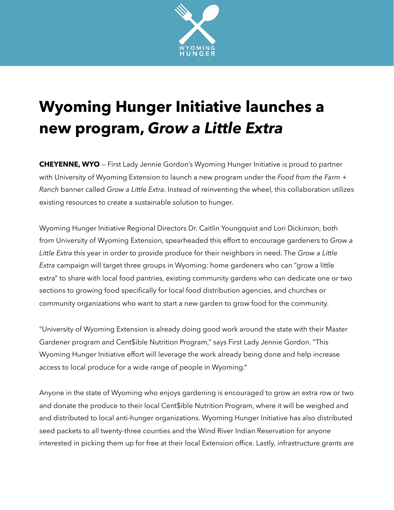

## **Wyoming Hunger Initiative launches a new program,** *Grow a Little Extra*

**CHEYENNE, WYO** — First Lady Jennie Gordon's Wyoming Hunger Initiative is proud to partner with University of Wyoming Extension to launch a new program under the *Food from the Farm + Ranch* banner called *Grow a Little Extra*. Instead of reinventing the wheel, this collaboration utilizes existing resources to create a sustainable solution to hunger.

Wyoming Hunger Initiative Regional Directors Dr. Caitlin Youngquist and Lori Dickinson, both from University of Wyoming Extension, spearheaded this effort to encourage gardeners to *Grow a Little Extra* this year in order to provide produce for their neighbors in need. The *Grow a Little Extra* campaign will target three groups in Wyoming: home gardeners who can "grow a little extra" to share with local food pantries, existing community gardens who can dedicate one or two sections to growing food specifically for local food distribution agencies, and churches or community organizations who want to start a new garden to grow food for the community.

"University of Wyoming Extension is already doing good work around the state with their Master Gardener program and Cent\$ible Nutrition Program," says First Lady Jennie Gordon. "This Wyoming Hunger Initiative effort will leverage the work already being done and help increase access to local produce for a wide range of people in Wyoming."

Anyone in the state of Wyoming who enjoys gardening is encouraged to grow an extra row or two and donate the produce to their local Cent\$ible Nutrition Program, where it will be weighed and and distributed to local anti-hunger organizations. Wyoming Hunger Initiative has also distributed seed packets to all twenty-three counties and the Wind River Indian Reservation for anyone interested in picking them up for free at their local Extension office. Lastly, infrastructure grants are